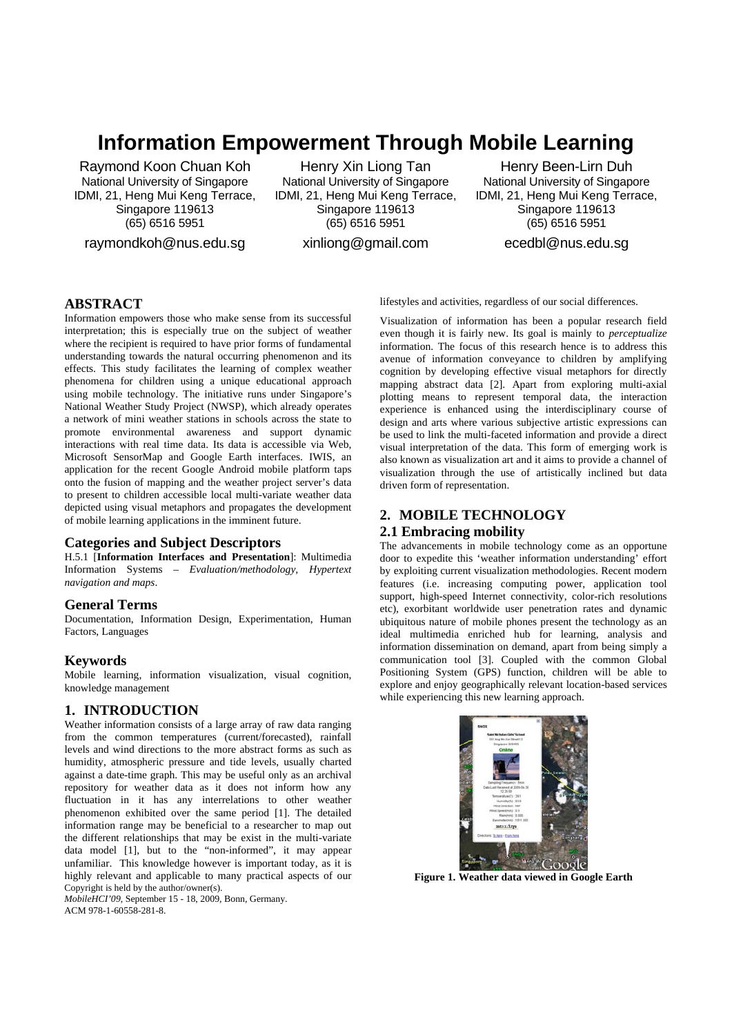# **Information Empowerment Through Mobile Learning**

Raymond Koon Chuan Koh National University of Singapore IDMI, 21, Heng Mui Keng Terrace, Singapore 119613 (65) 6516 5951

raymondkoh@nus.edu.sg

Henry Xin Liong Tan National University of Singapore IDMI, 21, Heng Mui Keng Terrace, Singapore 119613 (65) 6516 5951 xinliong@gmail.com

Henry Been-Lirn Duh National University of Singapore IDMI, 21, Heng Mui Keng Terrace, Singapore 119613 (65) 6516 5951 ecedbl@nus.edu.sg

# **ABSTRACT**

Information empowers those who make sense from its successful interpretation; this is especially true on the subject of weather where the recipient is required to have prior forms of fundamental understanding towards the natural occurring phenomenon and its effects. This study facilitates the learning of complex weather phenomena for children using a unique educational approach using mobile technology. The initiative runs under Singapore's National Weather Study Project (NWSP), which already operates a network of mini weather stations in schools across the state to promote environmental awareness and support dynamic interactions with real time data. Its data is accessible via Web, Microsoft SensorMap and Google Earth interfaces. IWIS, an application for the recent Google Android mobile platform taps onto the fusion of mapping and the weather project server's data to present to children accessible local multi-variate weather data depicted using visual metaphors and propagates the development of mobile learning applications in the imminent future.

### **Categories and Subject Descriptors**

H.5.1 [**Information Interfaces and Presentation**]: Multimedia Information Systems – *Evaluation/methodology, Hypertext navigation and maps*.

### **General Terms**

Documentation, Information Design, Experimentation, Human Factors, Languages

### **Keywords**

Mobile learning, information visualization, visual cognition, knowledge management

### **1. INTRODUCTION**

Weather information consists of a large array of raw data ranging from the common temperatures (current/forecasted), rainfall levels and wind directions to the more abstract forms as such as humidity, atmospheric pressure and tide levels, usually charted against a date-time graph. This may be useful only as an archival repository for weather data as it does not inform how any fluctuation in it has any interrelations to other weather phenomenon exhibited over the same period [1]. The detailed information range may be beneficial to a researcher to map out the different relationships that may be exist in the multi-variate data model [1], but to the "non-informed", it may appear unfamiliar. This knowledge however is important today, as it is highly relevant and applicable to many practical aspects of our Copyright is held by the author/owner(s).

*MobileHCI'09*, September 15 - 18, 2009, Bonn, Germany. ACM 978-1-60558-281-8.

lifestyles and activities, regardless of our social differences.

Visualization of information has been a popular research field even though it is fairly new. Its goal is mainly to *perceptualize* information. The focus of this research hence is to address this avenue of information conveyance to children by amplifying cognition by developing effective visual metaphors for directly mapping abstract data [2]. Apart from exploring multi-axial plotting means to represent temporal data, the interaction experience is enhanced using the interdisciplinary course of design and arts where various subjective artistic expressions can be used to link the multi-faceted information and provide a direct visual interpretation of the data. This form of emerging work is also known as visualization art and it aims to provide a channel of visualization through the use of artistically inclined but data driven form of representation.

# **2. MOBILE TECHNOLOGY**

## **2.1 Embracing mobility**

The advancements in mobile technology come as an opportune door to expedite this 'weather information understanding' effort by exploiting current visualization methodologies. Recent modern features (i.e. increasing computing power, application tool support, high-speed Internet connectivity, color-rich resolutions etc), exorbitant worldwide user penetration rates and dynamic ubiquitous nature of mobile phones present the technology as an ideal multimedia enriched hub for learning, analysis and information dissemination on demand, apart from being simply a communication tool [3]. Coupled with the common Global Positioning System (GPS) function, children will be able to explore and enjoy geographically relevant location-based services while experiencing this new learning approach.



**Figure 1. Weather data viewed in Google Earth**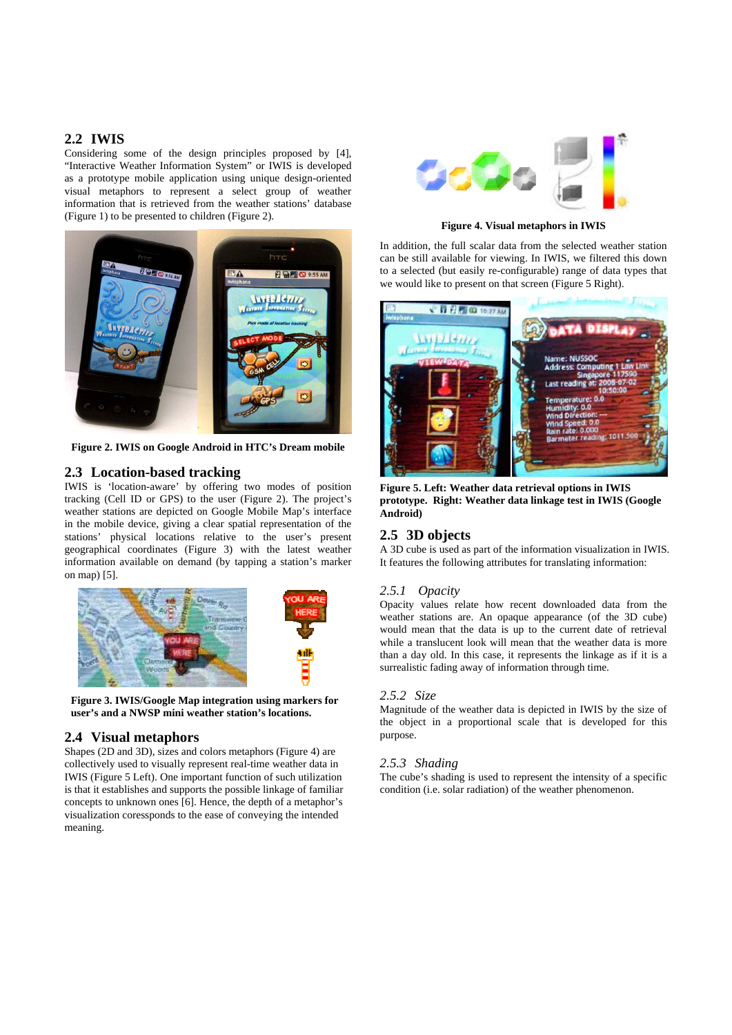## **2.2 IWIS**

Considering some of the design principles proposed by [4], "Interactive Weather Information System" or IWIS is developed as a prototype mobile application using unique design-oriented visual metaphors to represent a select group of weather information that is retrieved from the weather stations' database (Figure 1) to be presented to children (Figure 2).



**Figure 2. IWIS on Google Android in HTC's Dream mobile** 

## **2.3 Location-based tracking**

IWIS is 'location-aware' by offering two modes of position tracking (Cell ID or GPS) to the user (Figure 2). The project's weather stations are depicted on Google Mobile Map's interface in the mobile device, giving a clear spatial representation of the stations' physical locations relative to the user's present geographical coordinates (Figure 3) with the latest weather information available on demand (by tapping a station's marker on map) [5].



**Figure 3. IWIS/Google Map integration using markers for user's and a NWSP mini weather station's locations.**

### **2.4 Visual metaphors**

Shapes (2D and 3D), sizes and colors metaphors (Figure 4) are collectively used to visually represent real-time weather data in IWIS (Figure 5 Left). One important function of such utilization is that it establishes and supports the possible linkage of familiar concepts to unknown ones [6]. Hence, the depth of a metaphor's visualization coressponds to the ease of conveying the intended meaning.



**Figure 4. Visual metaphors in IWIS** 

In addition, the full scalar data from the selected weather station can be still available for viewing. In IWIS, we filtered this down to a selected (but easily re-configurable) range of data types that we would like to present on that screen (Figure 5 Right).



**Figure 5. Left: Weather data retrieval options in IWIS prototype. Right: Weather data linkage test in IWIS (Google Android)** 

## **2.5 3D objects**

A 3D cube is used as part of the information visualization in IWIS. It features the following attributes for translating information:

## *2.5.1 Opacity*

Opacity values relate how recent downloaded data from the weather stations are. An opaque appearance (of the 3D cube) would mean that the data is up to the current date of retrieval while a translucent look will mean that the weather data is more than a day old. In this case, it represents the linkage as if it is a surrealistic fading away of information through time.

## *2.5.2 Size*

Magnitude of the weather data is depicted in IWIS by the size of the object in a proportional scale that is developed for this purpose.

## *2.5.3 Shading*

The cube's shading is used to represent the intensity of a specific condition (i.e. solar radiation) of the weather phenomenon.